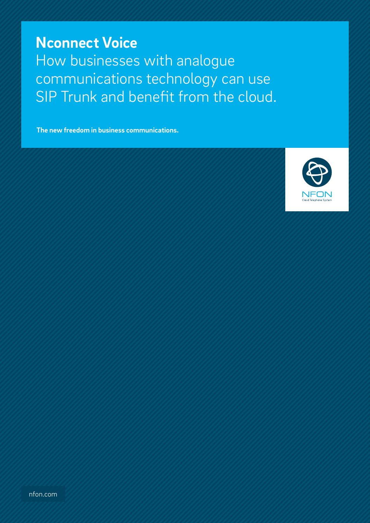**Nconnect Voice** How businesses with analogue communications technology can use SIP Trunk and benefit from the cloud.

**The new freedom in business communications.**

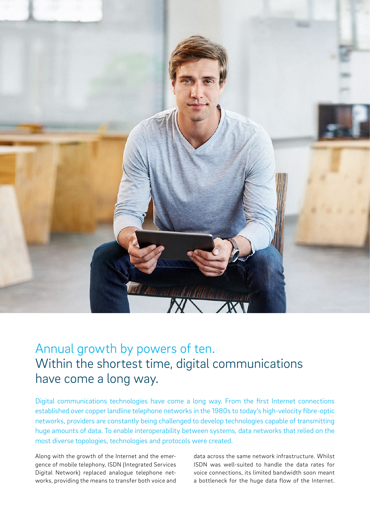

# Annual growth by powers of ten. Within the shortest time, digital communications have come a long way.

Digital communications technologies have come a long way. From the first Internet connections established over copper landline telephone networks in the 1980s to today's high-velocity fibre-optic networks, providers are constantly being challenged to develop technologies capable of transmitting huge amounts of data. To enable interoperability between systems, data networks that relied on the most diverse topologies, technologies and protocols were created.

Along with the growth of the Internet and the emergence of mobile telephony, ISDN (Integrated Services Digital Network) replaced analogue telephone networks, providing the means to transfer both voice and

data across the same network infrastructure. Whilst ISDN was well-suited to handle the data rates for voice connections, its limited bandwidth soon meant a bottleneck for the huge data flow of the Internet.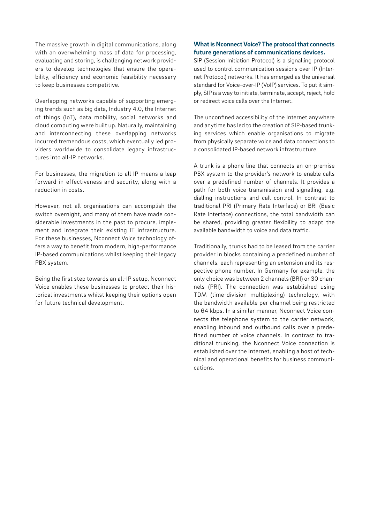The massive growth in digital communications, along with an overwhelming mass of data for processing, evaluating and storing, is challenging network providers to develop technologies that ensure the operability, efficiency and economic feasibility necessary to keep businesses competitive.

Overlapping networks capable of supporting emerging trends such as big data, Industry 4.0, the Internet of things (IoT), data mobility, social networks and cloud computing were built up. Naturally, maintaining and interconnecting these overlapping networks incurred tremendous costs, which eventually led providers worldwide to consolidate legacy infrastructures into all-IP networks.

For businesses, the migration to all IP means a leap forward in effectiveness and security, along with a reduction in costs.

However, not all organisations can accomplish the switch overnight, and many of them have made considerable investments in the past to procure, implement and integrate their existing IT infrastructure. For these businesses, Nconnect Voice technology offers a way to benefit from modern, high-performance IP-based communications whilst keeping their legacy PBX system.

Being the first step towards an all-IP setup, Nconnect Voice enables these businesses to protect their historical investments whilst keeping their options open for future technical development.

#### **What is Nconnect Voice? The protocol that connects future generations of communications devices.**

SIP (Session Initiation Protocol) is a signalling protocol used to control communication sessions over IP (Internet Protocol) networks. It has emerged as the universal standard for Voice-over-IP (VoIP) services. To put it simply, SIP is a way to initiate, terminate, accept, reject, hold or redirect voice calls over the Internet.

The unconfined accessibility of the Internet anywhere and anytime has led to the creation of SIP-based trunking services which enable organisations to migrate from physically separate voice and data connections to a consolidated IP-based network infrastructure.

A trunk is a phone line that connects an on-premise PBX system to the provider's network to enable calls over a predefined number of channels. It provides a path for both voice transmission and signalling, e.g. dialling instructions and call control. In contrast to traditional PRI (Primary Rate Interface) or BRI (Basic Rate Interface) connections, the total bandwidth can be shared, providing greater flexibility to adapt the available bandwidth to voice and data traffic.

Traditionally, trunks had to be leased from the carrier provider in blocks containing a predefined number of channels, each representing an extension and its respective phone number. In Germany for example, the only choice was between 2 channels (BRI) or 30 channels (PRI). The connection was established using TDM (time-division multiplexing) technology, with the bandwidth available per channel being restricted to 64 kbps. In a similar manner, Nconnect Voice connects the telephone system to the carrier network, enabling inbound and outbound calls over a predefined number of voice channels. In contrast to traditional trunking, the Nconnect Voice connection is established over the Internet, enabling a host of technical and operational benefits for business communications.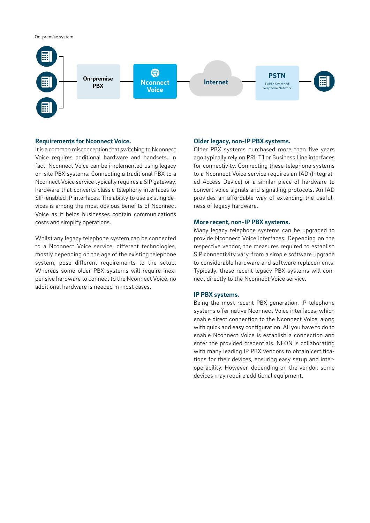#### On-premise system



#### **Requirements for Nconnect Voice.**

It is a common misconception that switching to Nconnect Voice requires additional hardware and handsets. In fact, Nconnect Voice can be implemented using legacy on-site PBX systems. Connecting a traditional PBX to a Nconnect Voice service typically requires a SIP gateway, hardware that converts classic telephony interfaces to SIP-enabled IP interfaces. The ability to use existing devices is among the most obvious benefits of Nconnect Voice as it helps businesses contain communications costs and simplify operations.

Whilst any legacy telephone system can be connected to a Nconnect Voice service, different technologies, mostly depending on the age of the existing telephone system, pose different requirements to the setup. Whereas some older PBX systems will require inexpensive hardware to connect to the Nconnect Voice, no additional hardware is needed in most cases.

#### **Older legacy, non-IP PBX systems.**

Older PBX systems purchased more than five years ago typically rely on PRI, T1 or Business Line interfaces for connectivity. Connecting these telephone systems to a Nconnect Voice service requires an IAD (Integrated Access Device) or a similar piece of hardware to convert voice signals and signalling protocols. An IAD provides an affordable way of extending the usefulness of legacy hardware.

#### **More recent, non-IP PBX systems.**

Many legacy telephone systems can be upgraded to provide Nconnect Voice interfaces. Depending on the respective vendor, the measures required to establish SIP connectivity vary, from a simple software upgrade to considerable hardware and software replacements. Typically, these recent legacy PBX systems will connect directly to the Nconnect Voice service.

#### **IP PBX systems.**

Being the most recent PBX generation, IP telephone systems offer native Nconnect Voice interfaces, which enable direct connection to the Nconnect Voice, along with quick and easy configuration. All you have to do to enable Nconnect Voice is establish a connection and enter the provided credentials. NFON is collaborating with many leading IP PBX vendors to obtain certifications for their devices, ensuring easy setup and interoperability. However, depending on the vendor, some devices may require additional equipment.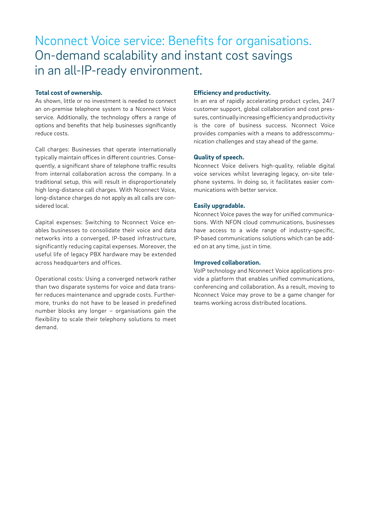# Nconnect Voice service: Benefits for organisations. On-demand scalability and instant cost savings in an all-IP-ready environment.

#### **Total cost of ownership.**

As shown, little or no investment is needed to connect an on-premise telephone system to a Nconnect Voice service. Additionally, the technology offers a range of options and benefits that help businesses significantly reduce costs.

Call charges: Businesses that operate internationally typically maintain offices in different countries. Consequently, a significant share of telephone traffic results from internal collaboration across the company. In a traditional setup, this will result in disproportionately high long-distance call charges. With Nconnect Voice, long-distance charges do not apply as all calls are considered local.

Capital expenses: Switching to Nconnect Voice enables businesses to consolidate their voice and data networks into a converged, IP-based infrastructure, significantly reducing capital expenses. Moreover, the useful life of legacy PBX hardware may be extended across headquarters and offices.

Operational costs: Using a converged network rather than two disparate systems for voice and data transfer reduces maintenance and upgrade costs. Furthermore, trunks do not have to be leased in predefined number blocks any longer – organisations gain the flexibility to scale their telephony solutions to meet demand.

#### **Efficiency and productivity.**

In an era of rapidly accelerating product cycles, 24/7 customer support, global collaboration and cost pressures, continually increasing efficiency and productivity is the core of business success. Nconnect Voice provides companies with a means to addresscommunication challenges and stay ahead of the game.

#### **Quality of speech.**

Nconnect Voice delivers high-quality, reliable digital voice services whilst leveraging legacy, on-site telephone systems. In doing so, it facilitates easier communications with better service.

#### **Easily upgradable.**

Nconnect Voice paves the way for unified communications. With NFON cloud communications, businesses have access to a wide range of industry-specific, IP-based communications solutions which can be added on at any time, just in time.

#### **Improved collaboration.**

VoIP technology and Nconnect Voice applications provide a platform that enables unified communications, conferencing and collaboration. As a result, moving to Nconnect Voice may prove to be a game changer for teams working across distributed locations.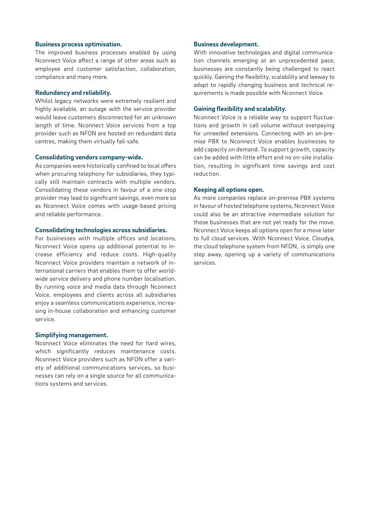#### **Business process optimisation.**

The improved business processes enabled by using Nconnect Voice affect a range of other areas such as employee and customer satisfaction, collaboration, compliance and many more.

#### **Redundancy and reliability.**

Whilst legacy networks were extremely resilient and highly available, an outage with the service provider would leave customers disconnected for an unknown length of time. Nconnect Voice services from a top provider such as NFON are hosted on redundant data centres, making them virtually fail-safe.

#### **Consolidating vendors company-wide.**

As companies were historically confined to local offers when procuring telephony for subsidiaries, they typically still maintain contracts with multiple vendors. Consolidating these vendors in favour of a one-stop provider may lead to significant savings, even more so as Nconnect Voice comes with usage-based pricing and reliable performance.

#### **Consolidating technologies across subsidiaries.**

For businesses with multiple offices and locations, Nconnect Voice opens up additional potential to increase efficiency and reduce costs. High-quality Nconnect Voice providers maintain a network of international carriers that enables them to offer worldwide service delivery and phone number localisation. By running voice and media data through Nconnect Voice, employees and clients across all subsidiaries enjoy a seamless communications experience, increasing in-house collaboration and enhancing customer service.

#### **Simplifying management.**

Nconnect Voice eliminates the need for hard wires, which significantly reduces maintenance costs. Nconnect Voice providers such as NFON offer a variety of additional communications services, so businesses can rely on a single source for all communications systems and services.

#### **Business development.**

With innovative technologies and digital communication channels emerging at an unprecedented pace, businesses are constantly being challenged to react quickly. Gaining the flexibility, scalability and leeway to adapt to rapidly changing business and technical requirements is made possible with Nconnect Voice.

#### **Gaining flexibility and scalability.**

Nconnect Voice is a reliable way to support fluctuations and growth in call volume without overpaying for unneeded extensions. Connecting with an on-premise PBX to Nconnect Voice enables businesses to add capacity on demand. To support growth, capacity can be added with little effort and no on-site installation, resulting in significant time savings and cost reduction.

#### **Keeping all options open.**

As more companies replace on-premise PBX systems in favour of hosted telephone systems, Nconnect Voice could also be an attractive intermediate solution for those businesses that are not yet ready for the move. Nconnect Voice keeps all options open for a move later to full cloud services. With Nconnect Voice, Cloudya, the cloud telephone system from NFON, is simply one step away, opening up a variety of communications services.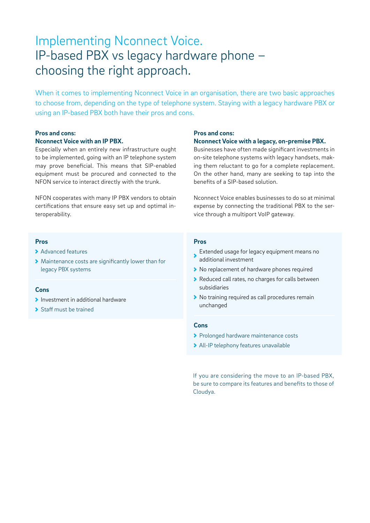# Implementing Nconnect Voice. IP-based PBX vs legacy hardware phone – choosing the right approach.

When it comes to implementing Nconnect Voice in an organisation, there are two basic approaches to choose from, depending on the type of telephone system. Staying with a legacy hardware PBX or using an IP-based PBX both have their pros and cons.

### **Pros and cons:**

#### **Nconnect Voice with an IP PBX.**

Especially when an entirely new infrastructure ought to be implemented, going with an IP telephone system may prove beneficial. This means that SIP-enabled equipment must be procured and connected to the NFON service to interact directly with the trunk.

NFON cooperates with many IP PBX vendors to obtain certifications that ensure easy set up and optimal interoperability.

## **Pros and cons:**

#### **Nconnect Voice with a legacy, on-premise PBX.**

Businesses have often made significant investments in on-site telephone systems with legacy handsets, making them reluctant to go for a complete replacement. On the other hand, many are seeking to tap into the benefits of a SIP-based solution.

Nconnect Voice enables businesses to do so at minimal expense by connecting the traditional PBX to the service through a multiport VoIP gateway.

#### **Pros**

- Advanced features
- Maintenance costs are significantly lower than for legacy PBX systems

#### **Cons**

- Investment in additional hardware
- > Staff must be trained

#### **Pros**

- **Extended usage for legacy equipment means no** additional investment
- ▶ No replacement of hardware phones required
- Reduced call rates, no charges for calls between subsidiaries
- ▶ No training required as call procedures remain unchanged

#### **Cons**

- > Prolonged hardware maintenance costs
- All-IP telephony features unavailable

If you are considering the move to an IP-based PBX, be sure to compare its features and benefits to those of Cloudya.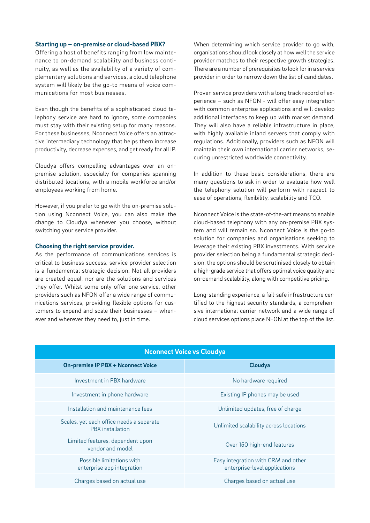#### **Starting up – on-premise or cloud-based PBX?**

Offering a host of benefits ranging from low maintenance to on-demand scalability and business continuity, as well as the availability of a variety of complementary solutions and services, a cloud telephone system will likely be the go-to means of voice communications for most businesses.

Even though the benefits of a sophisticated cloud telephony service are hard to ignore, some companies must stay with their existing setup for many reasons. For these businesses, Nconnect Voice offers an attractive intermediary technology that helps them increase productivity, decrease expenses, and get ready for all IP.

Cloudya offers compelling advantages over an onpremise solution, especially for companies spanning distributed locations, with a mobile workforce and/or employees working from home.

However, if you prefer to go with the on-premise solution using Nconnect Voice, you can also make the change to Cloudya whenever you choose, without switching your service provider.

#### **Choosing the right service provider.**

As the performance of communications services is critical to business success, service provider selection is a fundamental strategic decision. Not all providers are created equal, nor are the solutions and services they offer. Whilst some only offer one service, other providers such as NFON offer a wide range of communications services, providing flexible options for customers to expand and scale their businesses – whenever and wherever they need to, just in time.

When determining which service provider to go with, organisations should look closely at how well the service provider matches to their respective growth strategies. There are a number of prerequisites to look for in a service provider in order to narrow down the list of candidates.

Proven service providers with a long track record of experience – such as NFON - will offer easy integration with common enterprise applications and will develop additional interfaces to keep up with market demand. They will also have a reliable infrastructure in place, with highly available inland servers that comply with regulations. Additionally, providers such as NFON will maintain their own international carrier networks, securing unrestricted worldwide connectivity.

In addition to these basic considerations, there are many questions to ask in order to evaluate how well the telephony solution will perform with respect to ease of operations, flexibility, scalability and TCO.

Nconnect Voice is the state-of-the-art means to enable cloud-based telephony with any on-premise PBX system and will remain so. Nconnect Voice is the go-to solution for companies and organisations seeking to leverage their existing PBX investments. With service provider selection being a fundamental strategic decision, the options should be scrutinised closely to obtain a high-grade service that offers optimal voice quality and on-demand scalability, along with competitive pricing.

Long-standing experience, a fail-safe infrastructure certified to the highest security standards, a comprehensive international carrier network and a wide range of cloud services options place NFON at the top of the list.

| <b>Nconnect Voice vs Cloudya</b>                                    |                                                                      |
|---------------------------------------------------------------------|----------------------------------------------------------------------|
| <b>On-premise IP PBX + Nconnect Voice</b>                           | Cloudya                                                              |
| Investment in PBX hardware                                          | No hardware required                                                 |
| Investment in phone hardware                                        | Existing IP phones may be used                                       |
| Installation and maintenance fees                                   | Unlimited updates, free of charge                                    |
| Scales, yet each office needs a separate<br><b>PBX</b> installation | Unlimited scalability across locations                               |
| Limited features, dependent upon<br>vendor and model                | Over 150 high-end features                                           |
| Possible limitations with<br>enterprise app integration             | Easy integration with CRM and other<br>enterprise-level applications |
| Charges based on actual use                                         | Charges based on actual use                                          |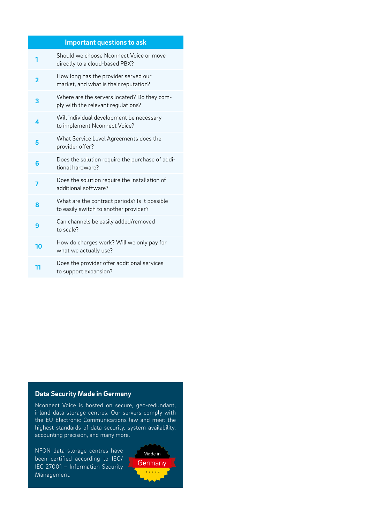| Important questions to ask |  |
|----------------------------|--|
|                            |  |

| 1  | Should we choose Nconnect Voice or move<br>directly to a cloud-based PBX?              |
|----|----------------------------------------------------------------------------------------|
| 2  | How long has the provider served our<br>market, and what is their reputation?          |
| 3  | Where are the servers located? Do they com-<br>ply with the relevant regulations?      |
| 4  | Will individual development be necessary<br>to implement Nconnect Voice?               |
| 5  | What Service Level Agreements does the<br>provider offer?                              |
| 6  | Does the solution require the purchase of addi-<br>tional hardware?                    |
| 7  | Does the solution require the installation of<br>additional software?                  |
| 8  | What are the contract periods? Is it possible<br>to easily switch to another provider? |
| 9  | Can channels be easily added/removed<br>to scale?                                      |
| 10 | How do charges work? Will we only pay for<br>what we actually use?                     |
| 11 | Does the provider offer additional services<br>to support expansion?                   |

## **Data Security Made in Germany**

Nconnect Voice is hosted on secure, geo-redundant, inland data storage centres. Our servers comply with the EU Electronic Communications law and meet the highest standards of data security, system availability, accounting precision, and many more.

NFON data storage centres have been certified according to ISO/ IEC 27001 – Information Security Management.